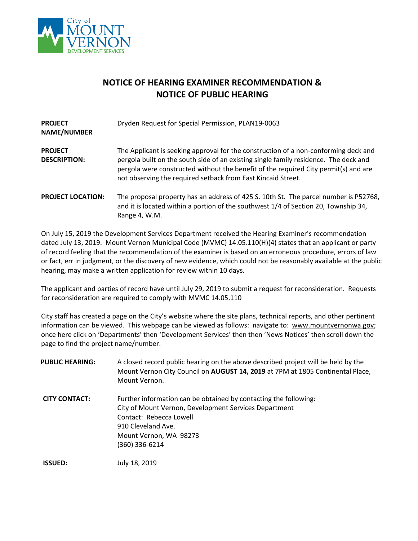

## **NOTICE OF HEARING EXAMINER RECOMMENDATION & NOTICE OF PUBLIC HEARING**

| <b>PROJECT</b><br><b>NAME/NUMBER</b>  | Dryden Request for Special Permission, PLAN19-0063                                                                                                                                                                                                                                                                                 |
|---------------------------------------|------------------------------------------------------------------------------------------------------------------------------------------------------------------------------------------------------------------------------------------------------------------------------------------------------------------------------------|
| <b>PROJECT</b><br><b>DESCRIPTION:</b> | The Applicant is seeking approval for the construction of a non-conforming deck and<br>pergola built on the south side of an existing single family residence. The deck and<br>pergola were constructed without the benefit of the required City permit(s) and are<br>not observing the required setback from East Kincaid Street. |
| <b>PROJECT LOCATION:</b>              | The proposal property has an address of 425 S. 10th St. The parcel number is P52768,<br>and it is located within a portion of the southwest 1/4 of Section 20, Township 34,<br>Range 4, W.M.                                                                                                                                       |

On July 15, 2019 the Development Services Department received the Hearing Examiner's recommendation dated July 13, 2019. Mount Vernon Municipal Code (MVMC) 14.05.110(H)(4) states that an applicant or party of record feeling that the recommendation of the examiner is based on an erroneous procedure, errors of law or fact, err in judgment, or the discovery of new evidence, which could not be reasonably available at the public hearing, may make a written application for review within 10 days.

The applicant and parties of record have until July 29, 2019 to submit a request for reconsideration. Requests for reconsideration are required to comply with MVMC 14.05.110

City staff has created a page on the City's website where the site plans, technical reports, and other pertinent information can be viewed. This webpage can be viewed as follows: navigate to: [www.mountvernonwa.gov;](http://www.mountvernonwa.gov/) once here click on 'Departments' then 'Development Services' then then 'News Notices' then scroll down the page to find the project name/number.

| <b>PUBLIC HEARING:</b> | A closed record public hearing on the above described project will be held by the<br>Mount Vernon City Council on AUGUST 14, 2019 at 7PM at 1805 Continental Place,<br>Mount Vernon. |
|------------------------|--------------------------------------------------------------------------------------------------------------------------------------------------------------------------------------|
| <b>CITY CONTACT:</b>   | Further information can be obtained by contacting the following:                                                                                                                     |
|                        | City of Mount Vernon, Development Services Department                                                                                                                                |
|                        | Contact: Rebecca Lowell                                                                                                                                                              |
|                        | 910 Cleveland Ave.                                                                                                                                                                   |
|                        | Mount Vernon, WA 98273                                                                                                                                                               |
|                        | (360) 336-6214                                                                                                                                                                       |
| <b>ISSUED:</b>         | July 18, 2019                                                                                                                                                                        |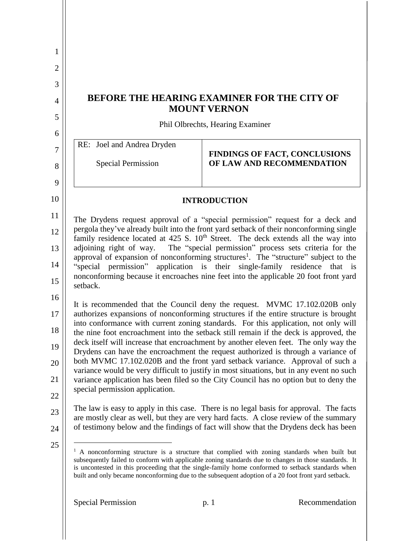| 1                   |                                                                                                                                                                                                                                                                                                                                                                                                                  |
|---------------------|------------------------------------------------------------------------------------------------------------------------------------------------------------------------------------------------------------------------------------------------------------------------------------------------------------------------------------------------------------------------------------------------------------------|
| $\overline{2}$      |                                                                                                                                                                                                                                                                                                                                                                                                                  |
| 3                   |                                                                                                                                                                                                                                                                                                                                                                                                                  |
| $\overline{4}$      | <b>BEFORE THE HEARING EXAMINER FOR THE CITY OF</b><br><b>MOUNT VERNON</b>                                                                                                                                                                                                                                                                                                                                        |
| 5                   | Phil Olbrechts, Hearing Examiner                                                                                                                                                                                                                                                                                                                                                                                 |
| 6                   | RE: Joel and Andrea Dryden                                                                                                                                                                                                                                                                                                                                                                                       |
| $\overline{7}$<br>8 | <b>FINDINGS OF FACT, CONCLUSIONS</b><br>OF LAW AND RECOMMENDATION<br><b>Special Permission</b>                                                                                                                                                                                                                                                                                                                   |
| 9                   |                                                                                                                                                                                                                                                                                                                                                                                                                  |
| 10                  | <b>INTRODUCTION</b>                                                                                                                                                                                                                                                                                                                                                                                              |
| 11                  | The Drydens request approval of a "special permission" request for a deck and                                                                                                                                                                                                                                                                                                                                    |
| 12                  | pergola they've already built into the front yard setback of their nonconforming single<br>family residence located at $425$ S. $10th$ Street. The deck extends all the way into                                                                                                                                                                                                                                 |
| 13                  | adjoining right of way. The "special permission" process sets criteria for the                                                                                                                                                                                                                                                                                                                                   |
| 14                  | approval of expansion of nonconforming structures <sup>1</sup> . The "structure" subject to the<br>"special permission" application is their single-family residence that is<br>nonconforming because it encroaches nine feet into the applicable 20 foot front yard                                                                                                                                             |
| 15                  | setback.                                                                                                                                                                                                                                                                                                                                                                                                         |
| 16                  | It is recommended that the Council deny the request. MVMC 17.102.020B only                                                                                                                                                                                                                                                                                                                                       |
| 17                  | authorizes expansions of nonconforming structures if the entire structure is brought<br>into conformance with current zoning standards. For this application, not only will                                                                                                                                                                                                                                      |
| 18                  | the nine foot encroachment into the setback still remain if the deck is approved, the<br>deck itself will increase that encroachment by another eleven feet. The only way the                                                                                                                                                                                                                                    |
| 19                  | Drydens can have the encroachment the request authorized is through a variance of<br>both MVMC 17.102.020B and the front yard setback variance. Approval of such a                                                                                                                                                                                                                                               |
| 20                  | variance would be very difficult to justify in most situations, but in any event no such                                                                                                                                                                                                                                                                                                                         |
| 21                  | variance application has been filed so the City Council has no option but to deny the<br>special permission application.                                                                                                                                                                                                                                                                                         |
| 22                  | The law is easy to apply in this case. There is no legal basis for approval. The facts                                                                                                                                                                                                                                                                                                                           |
| 23<br>24            | are mostly clear as well, but they are very hard facts. A close review of the summary<br>of testimony below and the findings of fact will show that the Drydens deck has been                                                                                                                                                                                                                                    |
| 25                  | A nonconforming structure is a structure that complied with zoning standards when built but<br>subsequently failed to conform with applicable zoning standards due to changes in those standards. It<br>is uncontested in this proceeding that the single-family home conformed to setback standards when<br>built and only became nonconforming due to the subsequent adoption of a 20 foot front yard setback. |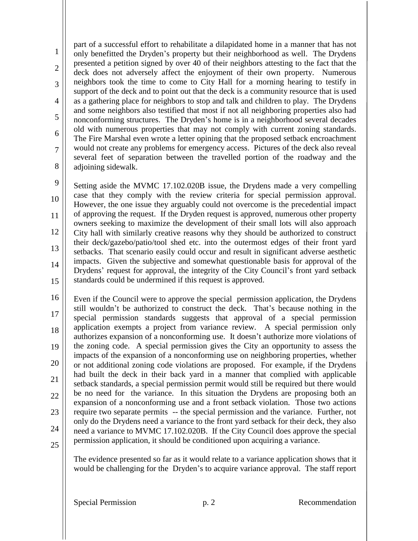1 2 3 4 5 6 7 8 part of a successful effort to rehabilitate a dilapidated home in a manner that has not only benefitted the Dryden's property but their neighborhood as well. The Drydens presented a petition signed by over 40 of their neighbors attesting to the fact that the deck does not adversely affect the enjoyment of their own property. Numerous neighbors took the time to come to City Hall for a morning hearing to testify in support of the deck and to point out that the deck is a community resource that is used as a gathering place for neighbors to stop and talk and children to play. The Drydens and some neighbors also testified that most if not all neighboring properties also had nonconforming structures. The Dryden's home is in a neighborhood several decades old with numerous properties that may not comply with current zoning standards. The Fire Marshal even wrote a letter opining that the proposed setback encroachment would not create any problems for emergency access. Pictures of the deck also reveal several feet of separation between the travelled portion of the roadway and the adjoining sidewalk.

9 10 11 12 13 14 15 Setting aside the MVMC 17.102.020B issue, the Drydens made a very compelling case that they comply with the review criteria for special permission approval. However, the one issue they arguably could not overcome is the precedential impact of approving the request. If the Dryden request is approved, numerous other property owners seeking to maximize the development of their small lots will also approach City hall with similarly creative reasons why they should be authorized to construct their deck/gazebo/patio/tool shed etc. into the outermost edges of their front yard setbacks. That scenario easily could occur and result in significant adverse aesthetic impacts. Given the subjective and somewhat questionable basis for approval of the Drydens' request for approval, the integrity of the City Council's front yard setback standards could be undermined if this request is approved.

16 17 18 19 20 21 22 23 24 25 Even if the Council were to approve the special permission application, the Drydens still wouldn't be authorized to construct the deck. That's because nothing in the special permission standards suggests that approval of a special permission application exempts a project from variance review. A special permission only authorizes expansion of a nonconforming use. It doesn't authorize more violations of the zoning code. A special permission gives the City an opportunity to assess the impacts of the expansion of a nonconforming use on neighboring properties, whether or not additional zoning code violations are proposed. For example, if the Drydens had built the deck in their back yard in a manner that complied with applicable setback standards, a special permission permit would still be required but there would be no need for the variance. In this situation the Drydens are proposing both an expansion of a nonconforming use and a front setback violation. Those two actions require two separate permits -- the special permission and the variance. Further, not only do the Drydens need a variance to the front yard setback for their deck, they also need a variance to MVMC 17.102.020B. If the City Council does approve the special permission application, it should be conditioned upon acquiring a variance.

The evidence presented so far as it would relate to a variance application shows that it would be challenging for the Dryden's to acquire variance approval. The staff report

Special Permission p. 2 Recommendation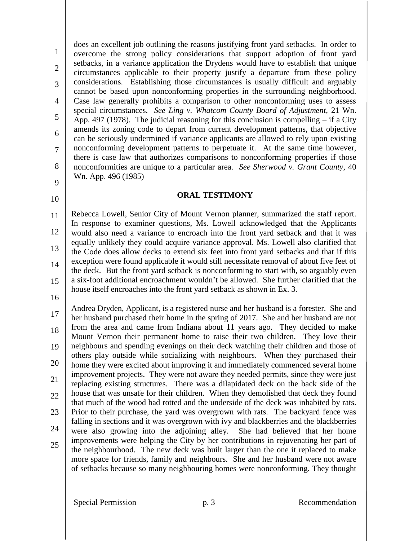1 2 3 4 5 6 7 8 9 does an excellent job outlining the reasons justifying front yard setbacks. In order to overcome the strong policy considerations that support adoption of front yard setbacks, in a variance application the Drydens would have to establish that unique circumstances applicable to their property justify a departure from these policy considerations. Establishing those circumstances is usually difficult and arguably cannot be based upon nonconforming properties in the surrounding neighborhood. Case law generally prohibits a comparison to other nonconforming uses to assess special circumstances. *See Ling v. Whatcom County Board of Adjustment,* 21 Wn. App. 497 (1978). The judicial reasoning for this conclusion is compelling – if a City amends its zoning code to depart from current development patterns, that objective can be seriously undermined if variance applicants are allowed to rely upon existing nonconforming development patterns to perpetuate it. At the same time however, there is case law that authorizes comparisons to nonconforming properties if those nonconformities are unique to a particular area. *See Sherwood v. Grant County*, 40 Wn. App. 496 (1985)

## **ORAL TESTIMONY**

11 12 13 14 15 Rebecca Lowell, Senior City of Mount Vernon planner, summarized the staff report. In response to examiner questions, Ms. Lowell acknowledged that the Applicants would also need a variance to encroach into the front yard setback and that it was equally unlikely they could acquire variance approval. Ms. Lowell also clarified that the Code does allow decks to extend six feet into front yard setbacks and that if this exception were found applicable it would still necessitate removal of about five feet of the deck. But the front yard setback is nonconforming to start with, so arguably even a six-foot additional encroachment wouldn't be allowed. She further clarified that the house itself encroaches into the front yard setback as shown in Ex. 3.

16

10

17 18 19 20 21 22 23 24 25 Andrea Dryden, Applicant, is a registered nurse and her husband is a forester. She and her husband purchased their home in the spring of 2017. She and her husband are not from the area and came from Indiana about 11 years ago. They decided to make Mount Vernon their permanent home to raise their two children. They love their neighbours and spending evenings on their deck watching their children and those of others play outside while socializing with neighbours. When they purchased their home they were excited about improving it and immediately commenced several home improvement projects. They were not aware they needed permits, since they were just replacing existing structures. There was a dilapidated deck on the back side of the house that was unsafe for their children. When they demolished that deck they found that much of the wood had rotted and the underside of the deck was inhabited by rats. Prior to their purchase, the yard was overgrown with rats. The backyard fence was falling in sections and it was overgrown with ivy and blackberries and the blackberries were also growing into the adjoining alley. She had believed that her home improvements were helping the City by her contributions in rejuvenating her part of the neighbourhood. The new deck was built larger than the one it replaced to make more space for friends, family and neighbours. She and her husband were not aware of setbacks because so many neighbouring homes were nonconforming. They thought

Special Permission p. 3 Recommendation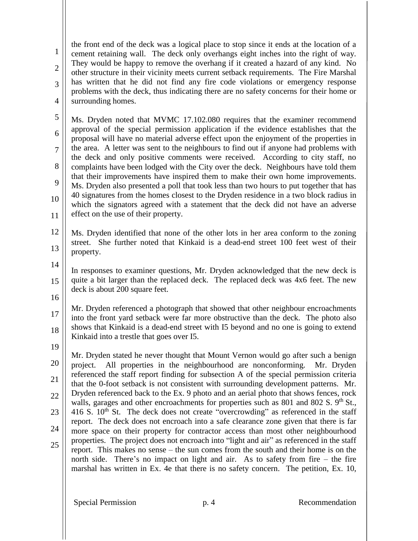1 2 3 4 the front end of the deck was a logical place to stop since it ends at the location of a cement retaining wall. The deck only overhangs eight inches into the right of way. They would be happy to remove the overhang if it created a hazard of any kind. No other structure in their vicinity meets current setback requirements. The Fire Marshal has written that he did not find any fire code violations or emergency response problems with the deck, thus indicating there are no safety concerns for their home or surrounding homes.

5 6 7 8 9 10 11 Ms. Dryden noted that MVMC 17.102.080 requires that the examiner recommend approval of the special permission application if the evidence establishes that the proposal will have no material adverse effect upon the enjoyment of the properties in the area. A letter was sent to the neighbours to find out if anyone had problems with the deck and only positive comments were received. According to city staff, no complaints have been lodged with the City over the deck. Neighbours have told them that their improvements have inspired them to make their own home improvements. Ms. Dryden also presented a poll that took less than two hours to put together that has 40 signatures from the homes closest to the Dryden residence in a two block radius in which the signators agreed with a statement that the deck did not have an adverse effect on the use of their property.

12 13 Ms. Dryden identified that none of the other lots in her area conform to the zoning street. She further noted that Kinkaid is a dead-end street 100 feet west of their property.

14

15 In responses to examiner questions, Mr. Dryden acknowledged that the new deck is quite a bit larger than the replaced deck. The replaced deck was 4x6 feet. The new deck is about 200 square feet.

16

17 18 Mr. Dryden referenced a photograph that showed that other neighbour encroachments into the front yard setback were far more obstructive than the deck. The photo also shows that Kinkaid is a dead-end street with I5 beyond and no one is going to extend Kinkaid into a trestle that goes over I5.

19

20 21 22 23 24 25 Mr. Dryden stated he never thought that Mount Vernon would go after such a benign project. All properties in the neighbourhood are nonconforming. Mr. Dryden referenced the staff report finding for subsection A of the special permission criteria that the 0-foot setback is not consistent with surrounding development patterns. Mr. Dryden referenced back to the Ex. 9 photo and an aerial photo that shows fences, rock walls, garages and other encroachments for properties such as 801 and 802 S.  $9<sup>th</sup>$  St., 416 S.  $10<sup>th</sup>$  St. The deck does not create "overcrowding" as referenced in the staff report. The deck does not encroach into a safe clearance zone given that there is far more space on their property for contractor access than most other neighbourhood properties. The project does not encroach into "light and air" as referenced in the staff report. This makes no sense – the sun comes from the south and their home is on the north side. There's no impact on light and air. As to safety from fire – the fire marshal has written in Ex. 4e that there is no safety concern. The petition, Ex. 10,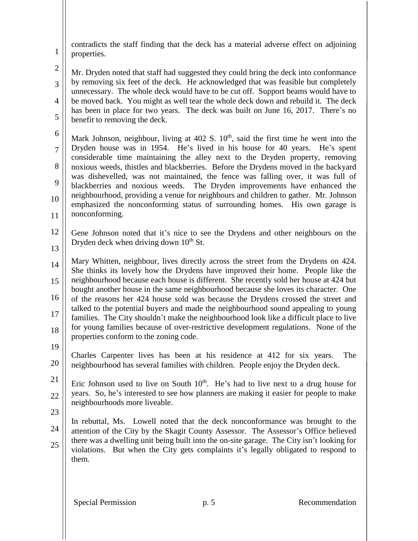contradicts the staff finding that the deck has a material adverse effect on adjoining properties.

2

3

4

5

1

Mr. Dryden noted that staff had suggested they could bring the deck into conformance by removing six feet of the deck. He acknowledged that was feasible but completely unnecessary. The whole deck would have to be cut off. Support beams would have to be moved back. You might as well tear the whole deck down and rebuild it. The deck has been in place for two years. The deck was built on June 16, 2017. There's no benefit to removing the deck.

- 6 7 8 9 10 11 Mark Johnson, neighbour, living at  $402 \text{ S}$ .  $10^{\text{th}}$ , said the first time he went into the Dryden house was in 1954. He's lived in his house for 40 years. He's spent considerable time maintaining the alley next to the Dryden property, removing noxious weeds, thistles and blackberries. Before the Drydens moved in the backyard was dishevelled, was not maintained, the fence was falling over, it was full of blackberries and noxious weeds. The Dryden improvements have enhanced the neighbourhood, providing a venue for neighbours and children to gather. Mr. Johnson emphasized the nonconforming status of surrounding homes. His own garage is nonconforming.
	- 12 13 Gene Johnson noted that it's nice to see the Drydens and other neighbours on the Dryden deck when driving down  $10<sup>th</sup>$  St.
	- 14 15 16 17 18 Mary Whitten, neighbour, lives directly across the street from the Drydens on 424. She thinks its lovely how the Drydens have improved their home. People like the neighbourhood because each house is different. She recently sold her house at 424 but bought another house in the same neighbourhood because she loves its character. One of the reasons her 424 house sold was because the Drydens crossed the street and talked to the potential buyers and made the neighbourhood sound appealing to young families. The City shouldn't make the neighbourhood look like a difficult place to live for young families because of over-restrictive development regulations. None of the properties conform to the zoning code.
	- 19
	- 20 Charles Carpenter lives has been at his residence at 412 for six years. The neighbourhood has several families with children. People enjoy the Dryden deck.
	- 21 22 Eric Johnson used to live on South  $10<sup>th</sup>$ . He's had to live next to a drug house for years. So, he's interested to see how planners are making it easier for people to make neighbourhoods more liveable.
	- 23
	- 24 25 In rebuttal, Ms. Lowell noted that the deck nonconformance was brought to the attention of the City by the Skagit County Assessor. The Assessor's Office believed there was a dwelling unit being built into the on-site garage. The City isn't looking for violations. But when the City gets complaints it's legally obligated to respond to them.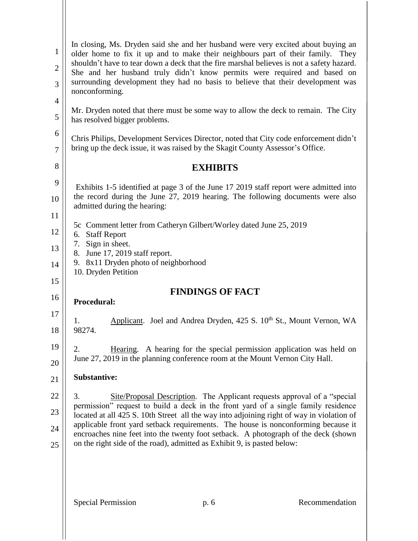| $\mathbf{1}$<br>$\overline{2}$<br>3 | In closing, Ms. Dryden said she and her husband were very excited about buying an<br>older home to fix it up and to make their neighbours part of their family. They<br>shouldn't have to tear down a deck that the fire marshal believes is not a safety hazard.<br>She and her husband truly didn't know permits were required and based on<br>surrounding development they had no basis to believe that their development was<br>nonconforming. |
|-------------------------------------|----------------------------------------------------------------------------------------------------------------------------------------------------------------------------------------------------------------------------------------------------------------------------------------------------------------------------------------------------------------------------------------------------------------------------------------------------|
| $\overline{4}$<br>$\mathfrak{S}$    | Mr. Dryden noted that there must be some way to allow the deck to remain. The City<br>has resolved bigger problems.                                                                                                                                                                                                                                                                                                                                |
| 6<br>$\boldsymbol{7}$               | Chris Philips, Development Services Director, noted that City code enforcement didn't<br>bring up the deck issue, it was raised by the Skagit County Assessor's Office.                                                                                                                                                                                                                                                                            |
| 8                                   | <b>EXHIBITS</b>                                                                                                                                                                                                                                                                                                                                                                                                                                    |
| 9<br>10                             | Exhibits 1-5 identified at page 3 of the June 17 2019 staff report were admitted into<br>the record during the June 27, 2019 hearing. The following documents were also<br>admitted during the hearing:                                                                                                                                                                                                                                            |
| 11                                  |                                                                                                                                                                                                                                                                                                                                                                                                                                                    |
| 12                                  | 5c Comment letter from Catheryn Gilbert/Worley dated June 25, 2019<br>6. Staff Report                                                                                                                                                                                                                                                                                                                                                              |
| 13                                  | 7. Sign in sheet.<br>8. June 17, 2019 staff report.                                                                                                                                                                                                                                                                                                                                                                                                |
| 14                                  | 9. 8x11 Dryden photo of neighborhood                                                                                                                                                                                                                                                                                                                                                                                                               |
| 15                                  | 10. Dryden Petition                                                                                                                                                                                                                                                                                                                                                                                                                                |
| 16                                  | <b>FINDINGS OF FACT</b><br>Procedural:                                                                                                                                                                                                                                                                                                                                                                                                             |
| 17                                  |                                                                                                                                                                                                                                                                                                                                                                                                                                                    |
| 18                                  | Applicant. Joel and Andrea Dryden, 425 S. 10 <sup>th</sup> St., Mount Vernon, WA<br>1.<br>98274.                                                                                                                                                                                                                                                                                                                                                   |
| 19                                  | Hearing. A hearing for the special permission application was held on<br>2.                                                                                                                                                                                                                                                                                                                                                                        |
| 20                                  | June 27, 2019 in the planning conference room at the Mount Vernon City Hall.                                                                                                                                                                                                                                                                                                                                                                       |
| 21                                  | <b>Substantive:</b>                                                                                                                                                                                                                                                                                                                                                                                                                                |
| 22                                  | 3.<br>Site/Proposal Description. The Applicant requests approval of a "special"                                                                                                                                                                                                                                                                                                                                                                    |
| 23                                  | permission" request to build a deck in the front yard of a single family residence<br>located at all 425 S. 10th Street all the way into adjoining right of way in violation of                                                                                                                                                                                                                                                                    |
| 24                                  | applicable front yard setback requirements. The house is nonconforming because it                                                                                                                                                                                                                                                                                                                                                                  |
| 25                                  | encroaches nine feet into the twenty foot setback. A photograph of the deck (shown<br>on the right side of the road), admitted as Exhibit 9, is pasted below:                                                                                                                                                                                                                                                                                      |
|                                     | <b>Special Permission</b><br>Recommendation<br>p. 6                                                                                                                                                                                                                                                                                                                                                                                                |
|                                     |                                                                                                                                                                                                                                                                                                                                                                                                                                                    |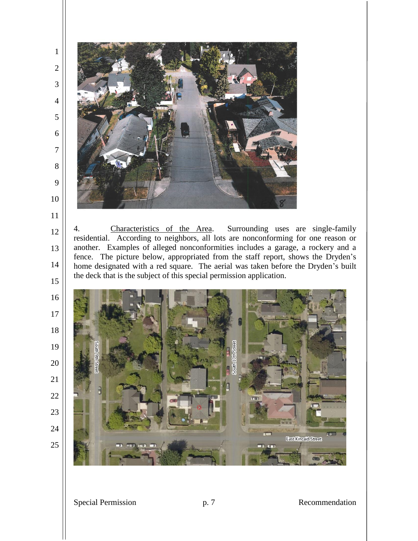

4. Characteristics of the Area. Surrounding uses are single-family residential. According to neighbors, all lots are nonconforming for one reason or another. Examples of alleged nonconformities includes a garage, a rockery and a fence. The picture below, appropriated from the staff report, shows the Dryden's home designated with a red square. The aerial was taken before the Dryden's built the deck that is the subject of this special permission application.

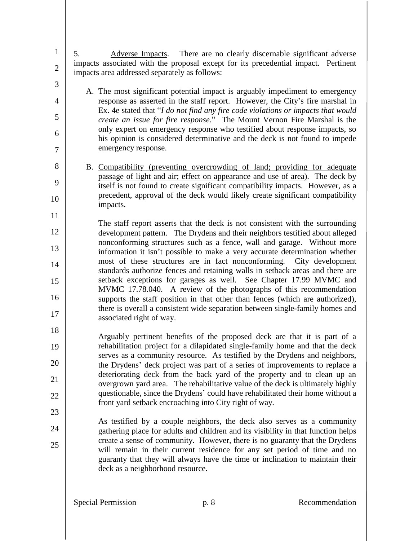- 1 2 3 5. Adverse Impacts. There are no clearly discernable significant adverse impacts associated with the proposal except for its precedential impact. Pertinent impacts area addressed separately as follows:
	- A. The most significant potential impact is arguably impediment to emergency response as asserted in the staff report. However, the City's fire marshal in Ex. 4e stated that "*I do not find any fire code violations or impacts that would create an issue for fire response*." The Mount Vernon Fire Marshal is the only expert on emergency response who testified about response impacts, so his opinion is considered determinative and the deck is not found to impede emergency response.
	- B. Compatibility (preventing overcrowding of land; providing for adequate passage of light and air; effect on appearance and use of area). The deck by itself is not found to create significant compatibility impacts. However, as a precedent, approval of the deck would likely create significant compatibility impacts.

11 12 13 14 15 16 17 The staff report asserts that the deck is not consistent with the surrounding development pattern. The Drydens and their neighbors testified about alleged nonconforming structures such as a fence, wall and garage. Without more information it isn't possible to make a very accurate determination whether most of these structures are in fact nonconforming. City development standards authorize fences and retaining walls in setback areas and there are setback exceptions for garages as well. See Chapter 17.99 MVMC and MVMC 17.78.040. A review of the photographs of this recommendation supports the staff position in that other than fences (which are authorized), there is overall a consistent wide separation between single-family homes and associated right of way.

- 18 19 20 21 22 Arguably pertinent benefits of the proposed deck are that it is part of a rehabilitation project for a dilapidated single-family home and that the deck serves as a community resource. As testified by the Drydens and neighbors, the Drydens' deck project was part of a series of improvements to replace a deteriorating deck from the back yard of the property and to clean up an overgrown yard area. The rehabilitative value of the deck is ultimately highly questionable, since the Drydens' could have rehabilitated their home without a front yard setback encroaching into City right of way.
- 23

24

25

4

5

6

7

8

9

10

As testified by a couple neighbors, the deck also serves as a community gathering place for adults and children and its visibility in that function helps create a sense of community. However, there is no guaranty that the Drydens will remain in their current residence for any set period of time and no guaranty that they will always have the time or inclination to maintain their deck as a neighborhood resource.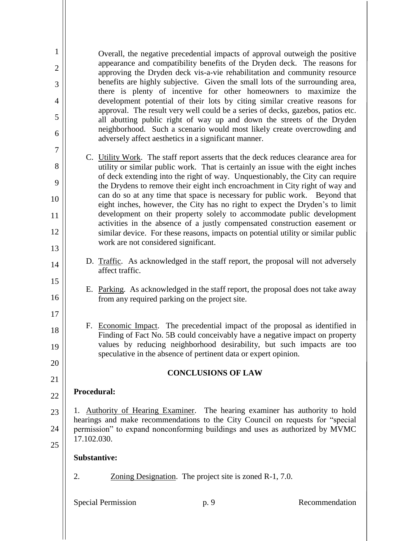| $\mathbf 1$<br>$\overline{2}$<br>3<br>$\overline{4}$<br>5<br>6 |                                                                                                                                                                                                                                                   | Overall, the negative precedential impacts of approval outweigh the positive<br>appearance and compatibility benefits of the Dryden deck. The reasons for<br>approving the Dryden deck vis-a-vie rehabilitation and community resource<br>benefits are highly subjective. Given the small lots of the surrounding area,<br>there is plenty of incentive for other homeowners to maximize the<br>development potential of their lots by citing similar creative reasons for<br>approval. The result very well could be a series of decks, gazebos, patios etc.<br>all abutting public right of way up and down the streets of the Dryden<br>neighborhood. Such a scenario would most likely create overcrowding and<br>adversely affect aesthetics in a significant manner. |                                                         |                |
|----------------------------------------------------------------|---------------------------------------------------------------------------------------------------------------------------------------------------------------------------------------------------------------------------------------------------|----------------------------------------------------------------------------------------------------------------------------------------------------------------------------------------------------------------------------------------------------------------------------------------------------------------------------------------------------------------------------------------------------------------------------------------------------------------------------------------------------------------------------------------------------------------------------------------------------------------------------------------------------------------------------------------------------------------------------------------------------------------------------|---------------------------------------------------------|----------------|
| $\boldsymbol{7}$                                               |                                                                                                                                                                                                                                                   |                                                                                                                                                                                                                                                                                                                                                                                                                                                                                                                                                                                                                                                                                                                                                                            |                                                         |                |
| 8                                                              |                                                                                                                                                                                                                                                   | C. Utility Work. The staff report asserts that the deck reduces clearance area for<br>utility or similar public work. That is certainly an issue with the eight inches                                                                                                                                                                                                                                                                                                                                                                                                                                                                                                                                                                                                     |                                                         |                |
| 9                                                              |                                                                                                                                                                                                                                                   | of deck extending into the right of way. Unquestionably, the City can require<br>the Drydens to remove their eight inch encroachment in City right of way and                                                                                                                                                                                                                                                                                                                                                                                                                                                                                                                                                                                                              |                                                         |                |
| 10                                                             |                                                                                                                                                                                                                                                   | can do so at any time that space is necessary for public work. Beyond that<br>eight inches, however, the City has no right to expect the Dryden's to limit                                                                                                                                                                                                                                                                                                                                                                                                                                                                                                                                                                                                                 |                                                         |                |
| 11                                                             |                                                                                                                                                                                                                                                   | development on their property solely to accommodate public development                                                                                                                                                                                                                                                                                                                                                                                                                                                                                                                                                                                                                                                                                                     |                                                         |                |
| 12                                                             |                                                                                                                                                                                                                                                   | activities in the absence of a justly compensated construction easement or<br>similar device. For these reasons, impacts on potential utility or similar public                                                                                                                                                                                                                                                                                                                                                                                                                                                                                                                                                                                                            |                                                         |                |
| 13                                                             |                                                                                                                                                                                                                                                   | work are not considered significant.                                                                                                                                                                                                                                                                                                                                                                                                                                                                                                                                                                                                                                                                                                                                       |                                                         |                |
| 14                                                             |                                                                                                                                                                                                                                                   | D. Traffic. As acknowledged in the staff report, the proposal will not adversely<br>affect traffic.                                                                                                                                                                                                                                                                                                                                                                                                                                                                                                                                                                                                                                                                        |                                                         |                |
| 15<br>16                                                       |                                                                                                                                                                                                                                                   | E. Parking. As acknowledged in the staff report, the proposal does not take away<br>from any required parking on the project site.                                                                                                                                                                                                                                                                                                                                                                                                                                                                                                                                                                                                                                         |                                                         |                |
| 17                                                             |                                                                                                                                                                                                                                                   |                                                                                                                                                                                                                                                                                                                                                                                                                                                                                                                                                                                                                                                                                                                                                                            |                                                         |                |
| 18                                                             |                                                                                                                                                                                                                                                   | F. Economic Impact. The precedential impact of the proposal as identified in<br>Finding of Fact No. 5B could conceivably have a negative impact on property                                                                                                                                                                                                                                                                                                                                                                                                                                                                                                                                                                                                                |                                                         |                |
| 19<br>20                                                       |                                                                                                                                                                                                                                                   | values by reducing neighborhood desirability, but such impacts are too<br>speculative in the absence of pertinent data or expert opinion.                                                                                                                                                                                                                                                                                                                                                                                                                                                                                                                                                                                                                                  |                                                         |                |
|                                                                |                                                                                                                                                                                                                                                   |                                                                                                                                                                                                                                                                                                                                                                                                                                                                                                                                                                                                                                                                                                                                                                            | <b>CONCLUSIONS OF LAW</b>                               |                |
| 21                                                             | Procedural:                                                                                                                                                                                                                                       |                                                                                                                                                                                                                                                                                                                                                                                                                                                                                                                                                                                                                                                                                                                                                                            |                                                         |                |
| 22                                                             |                                                                                                                                                                                                                                                   |                                                                                                                                                                                                                                                                                                                                                                                                                                                                                                                                                                                                                                                                                                                                                                            |                                                         |                |
| 23                                                             | Authority of Hearing Examiner. The hearing examiner has authority to hold<br>Ι.<br>hearings and make recommendations to the City Council on requests for "special<br>permission" to expand nonconforming buildings and uses as authorized by MVMC |                                                                                                                                                                                                                                                                                                                                                                                                                                                                                                                                                                                                                                                                                                                                                                            |                                                         |                |
| 24                                                             | 17.102.030.                                                                                                                                                                                                                                       |                                                                                                                                                                                                                                                                                                                                                                                                                                                                                                                                                                                                                                                                                                                                                                            |                                                         |                |
| 25                                                             |                                                                                                                                                                                                                                                   | <b>Substantive:</b>                                                                                                                                                                                                                                                                                                                                                                                                                                                                                                                                                                                                                                                                                                                                                        |                                                         |                |
|                                                                |                                                                                                                                                                                                                                                   |                                                                                                                                                                                                                                                                                                                                                                                                                                                                                                                                                                                                                                                                                                                                                                            |                                                         |                |
|                                                                | 2.                                                                                                                                                                                                                                                |                                                                                                                                                                                                                                                                                                                                                                                                                                                                                                                                                                                                                                                                                                                                                                            | Zoning Designation. The project site is zoned R-1, 7.0. |                |
|                                                                |                                                                                                                                                                                                                                                   | <b>Special Permission</b>                                                                                                                                                                                                                                                                                                                                                                                                                                                                                                                                                                                                                                                                                                                                                  | p. 9                                                    | Recommendation |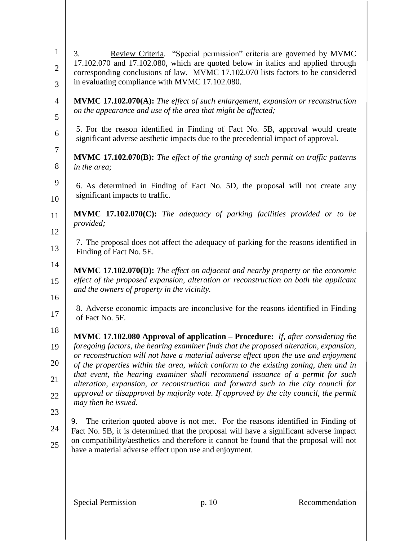| $\mathbf{1}$<br>$\overline{2}$<br>3 | Review Criteria. "Special permission" criteria are governed by MVMC<br>3.<br>17.102.070 and 17.102.080, which are quoted below in italics and applied through<br>corresponding conclusions of law. MVMC 17.102.070 lists factors to be considered<br>in evaluating compliance with MVMC 17.102.080.                                                                                                                                                                                                                                                                                                                                             |
|-------------------------------------|-------------------------------------------------------------------------------------------------------------------------------------------------------------------------------------------------------------------------------------------------------------------------------------------------------------------------------------------------------------------------------------------------------------------------------------------------------------------------------------------------------------------------------------------------------------------------------------------------------------------------------------------------|
| $\overline{4}$<br>5                 | <b>MVMC 17.102.070(A):</b> The effect of such enlargement, expansion or reconstruction<br>on the appearance and use of the area that might be affected;                                                                                                                                                                                                                                                                                                                                                                                                                                                                                         |
| 6                                   | 5. For the reason identified in Finding of Fact No. 5B, approval would create<br>significant adverse aesthetic impacts due to the precedential impact of approval.                                                                                                                                                                                                                                                                                                                                                                                                                                                                              |
| $\boldsymbol{7}$<br>8               | <b>MVMC 17.102.070(B):</b> The effect of the granting of such permit on traffic patterns<br>in the area;                                                                                                                                                                                                                                                                                                                                                                                                                                                                                                                                        |
| 9<br>10                             | 6. As determined in Finding of Fact No. 5D, the proposal will not create any<br>significant impacts to traffic.                                                                                                                                                                                                                                                                                                                                                                                                                                                                                                                                 |
| 11                                  | <b>MVMC</b> 17.102.070 $(C)$ : The adequacy of parking facilities provided or to be<br>provided;                                                                                                                                                                                                                                                                                                                                                                                                                                                                                                                                                |
| 12<br>13                            | 7. The proposal does not affect the adequacy of parking for the reasons identified in<br>Finding of Fact No. 5E.                                                                                                                                                                                                                                                                                                                                                                                                                                                                                                                                |
| 14<br>15                            | MVMC 17.102.070(D): The effect on adjacent and nearby property or the economic<br>effect of the proposed expansion, alteration or reconstruction on both the applicant<br>and the owners of property in the vicinity.                                                                                                                                                                                                                                                                                                                                                                                                                           |
| 16<br>17                            | 8. Adverse economic impacts are inconclusive for the reasons identified in Finding<br>of Fact No. 5F.                                                                                                                                                                                                                                                                                                                                                                                                                                                                                                                                           |
| 18<br>19<br>20<br>21<br>22          | MVMC 17.102.080 Approval of application - Procedure: If, after considering the<br>foregoing factors, the hearing examiner finds that the proposed alteration, expansion,<br>or reconstruction will not have a material adverse effect upon the use and enjoyment<br>of the properties within the area, which conform to the existing zoning, then and in<br>that event, the hearing examiner shall recommend issuance of a permit for such<br>alteration, expansion, or reconstruction and forward such to the city council for<br>approval or disapproval by majority vote. If approved by the city council, the permit<br>may then be issued. |
| 23<br>24<br>25                      | The criterion quoted above is not met. For the reasons identified in Finding of<br>9.<br>Fact No. 5B, it is determined that the proposal will have a significant adverse impact<br>on compatibility/aesthetics and therefore it cannot be found that the proposal will not<br>have a material adverse effect upon use and enjoyment.                                                                                                                                                                                                                                                                                                            |
|                                     | <b>Special Permission</b><br>p. 10<br>Recommendation                                                                                                                                                                                                                                                                                                                                                                                                                                                                                                                                                                                            |